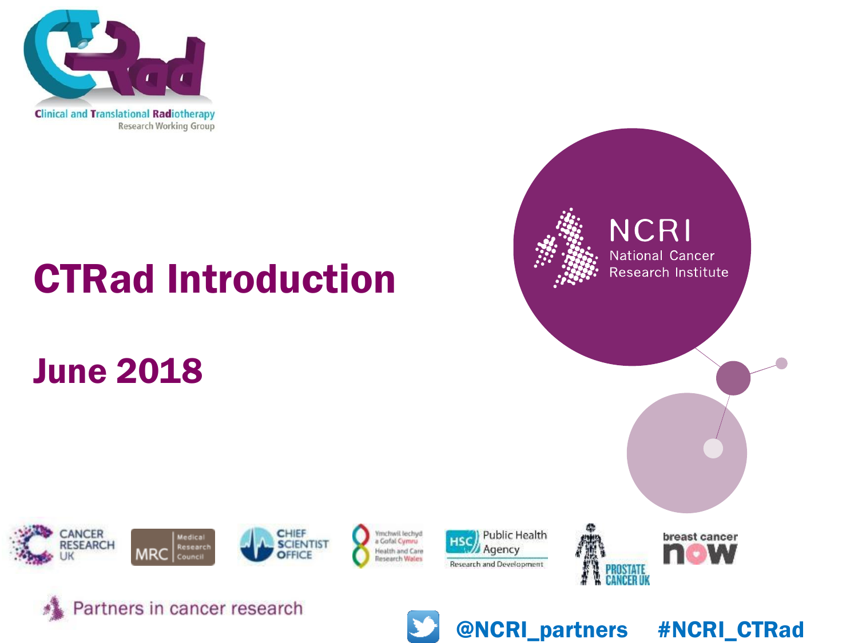

# CTRad Introduction

### June 2018







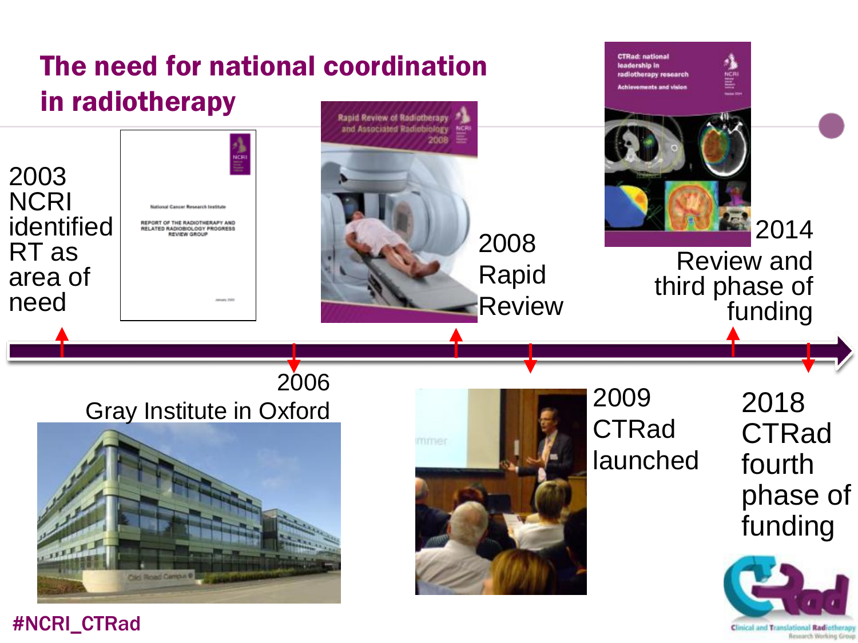

#NCRI\_CTRad

Clinical and Translational Radiotherap Research Working Group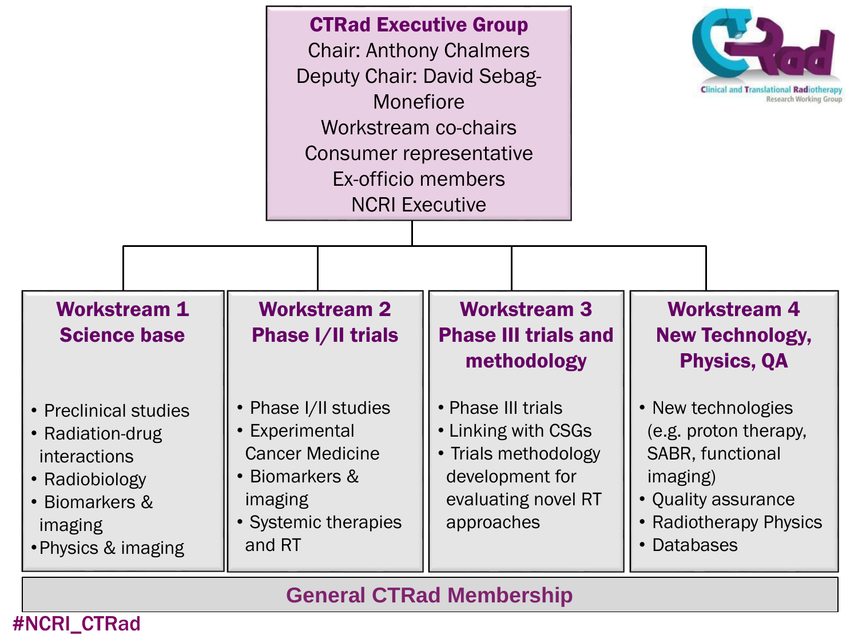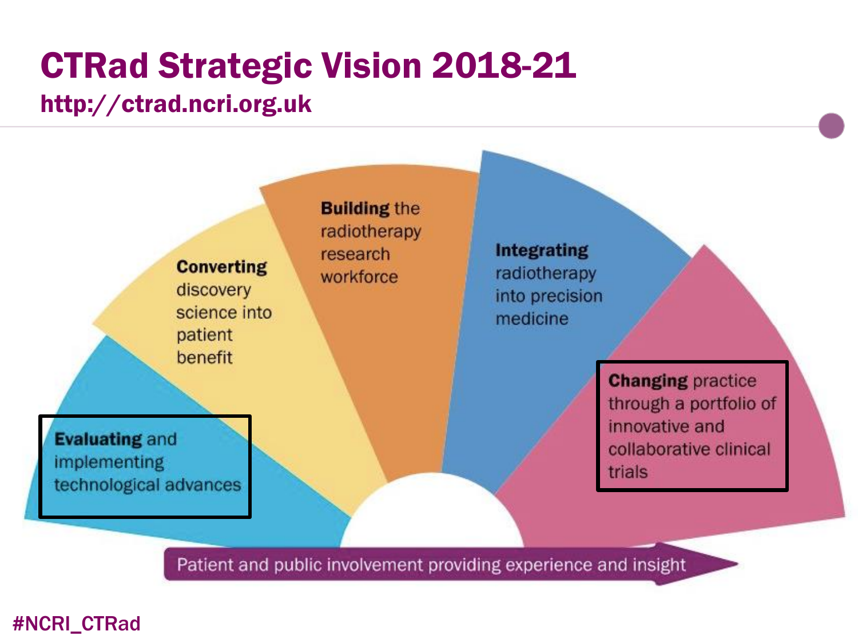# CTRad Strategic Vision 2018-21

#### http://ctrad.ncri.org.uk

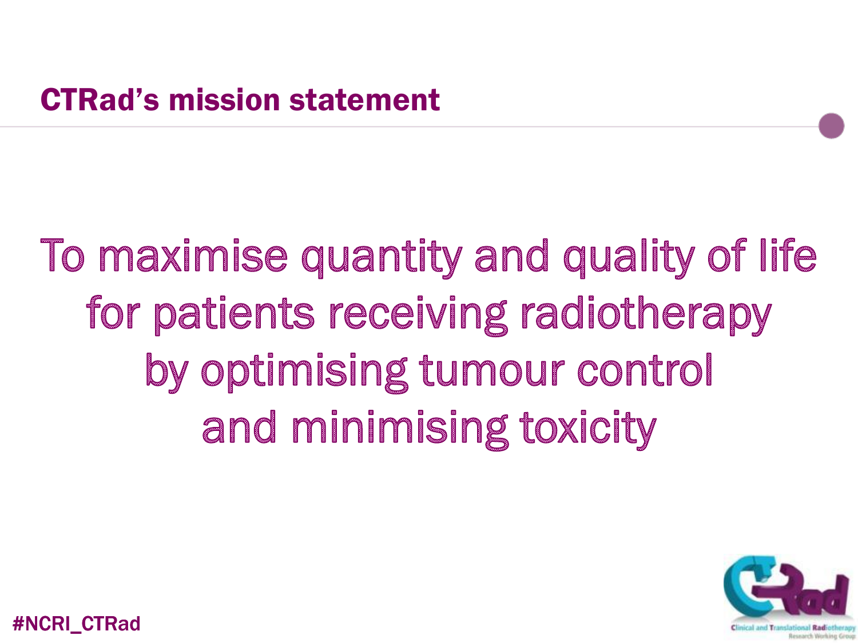# To maximise quantity and quality of life for patients receiving radiotherapy by optimising tumour control and minimising toxicity

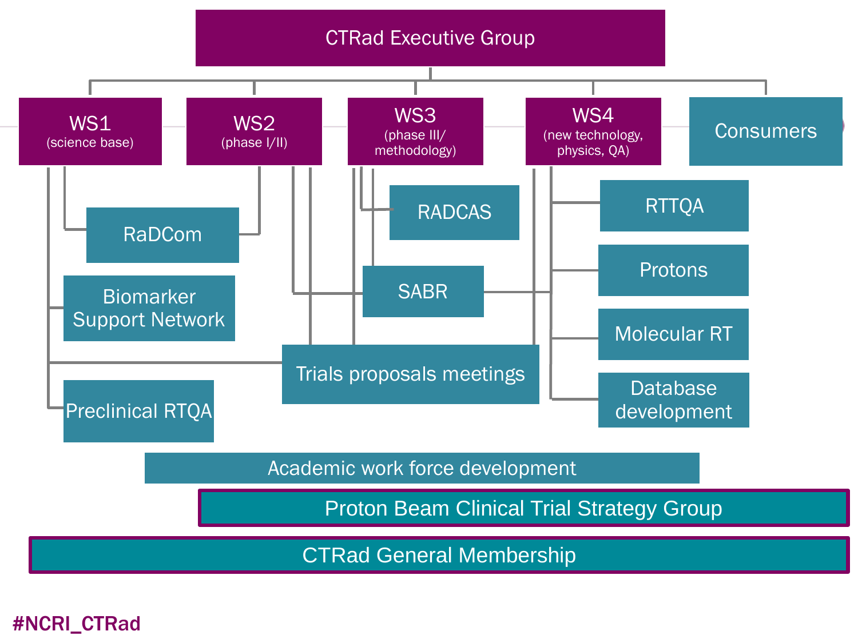

CTRad General Membership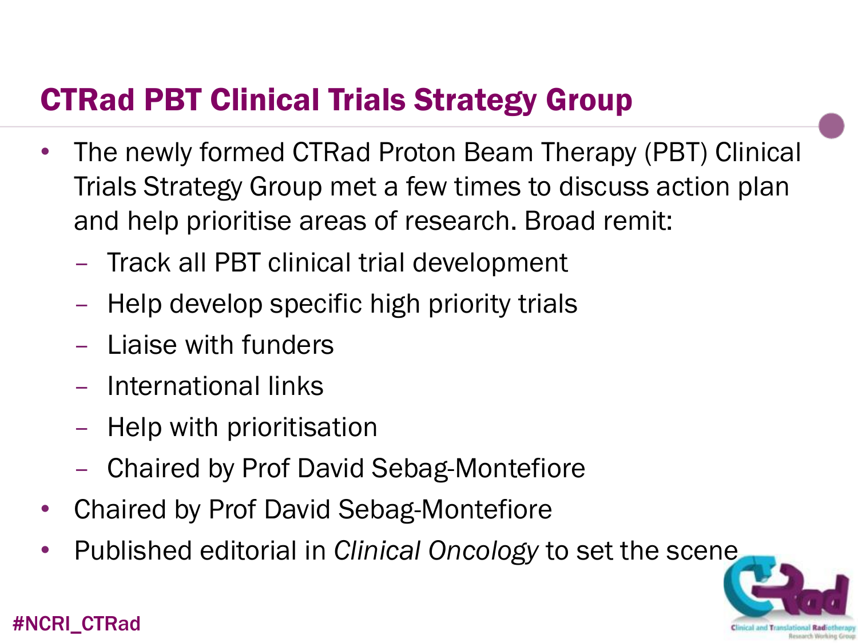### CTRad PBT Clinical Trials Strategy Group

- The newly formed CTRad Proton Beam Therapy (PBT) Clinical Trials Strategy Group met a few times to discuss action plan and help prioritise areas of research. Broad remit:
	- Track all PBT clinical trial development
	- Help develop specific high priority trials
	- Liaise with funders
	- International links
	- Help with prioritisation
	- Chaired by Prof David Sebag-Montefiore
- Chaired by Prof David Sebag-Montefiore
- Published editorial in *Clinical Oncology* to set the scene

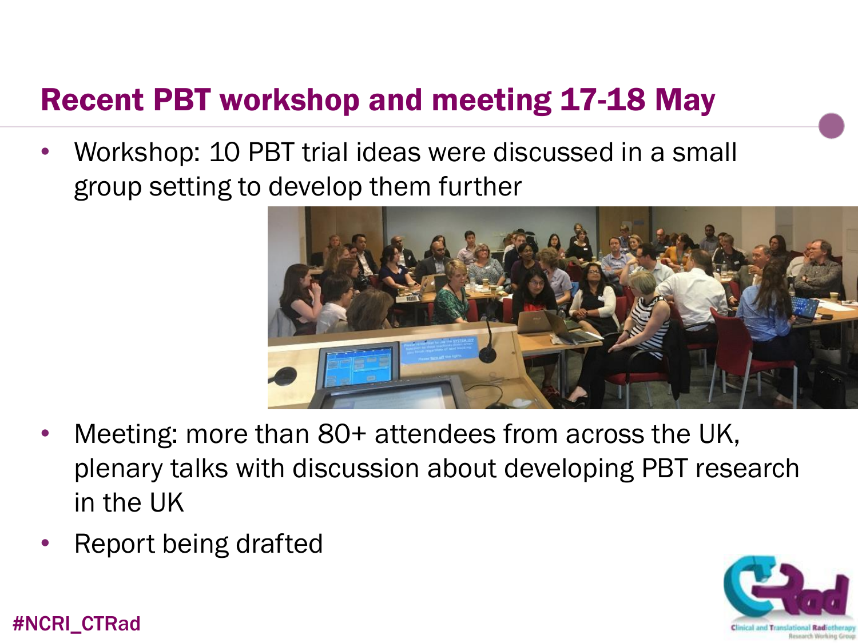### Recent PBT workshop and meeting 17-18 May

• Workshop: 10 PBT trial ideas were discussed in a small group setting to develop them further



- Meeting: more than 80+ attendees from across the UK, plenary talks with discussion about developing PBT research in the UK
- Report being drafted

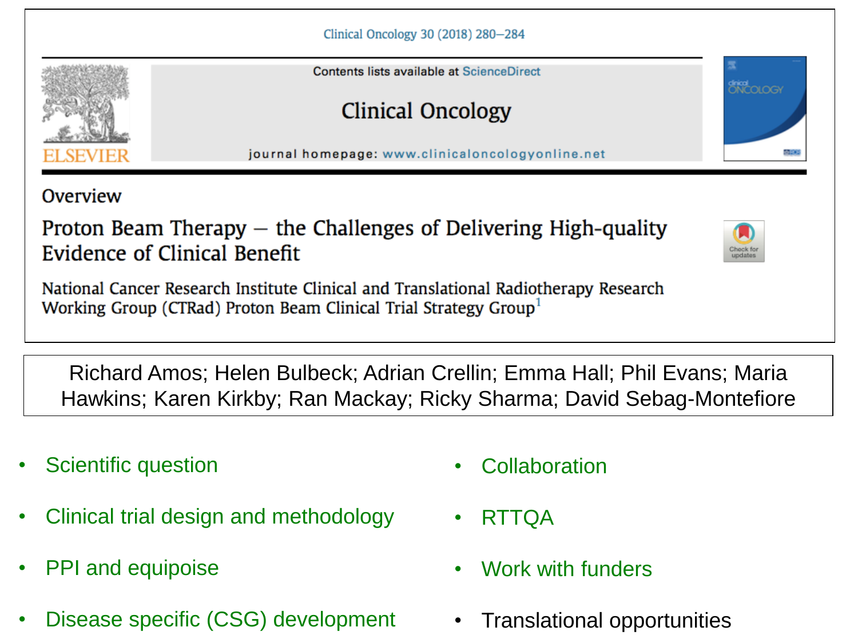Contents lists available at ScienceDirect

Clinical Oncology

journal homepage: www.clinicaloncologyonline.net

Overview

Proton Beam Therapy  $-$  the Challenges of Delivering High-quality Evidence of Clinical Benefit

National Cancer Research Institute Clinical and Translational Radiotherapy Research Working Group (CTRad) Proton Beam Clinical Trial Strategy Group

Richard Amos; Helen Bulbeck; Adrian Crellin; Emma Hall; Phil Evans; Maria Hawkins; Karen Kirkby; Ran Mackay; Ricky Sharma; David Sebag-Montefiore

- Scientific question
- Clinical trial design and methodology
- PPI and equipoise
- Disease specific (CSG) development
- Collaboration
- RTTQA
- Work with funders
- Translational opportunities



ONCOLOGY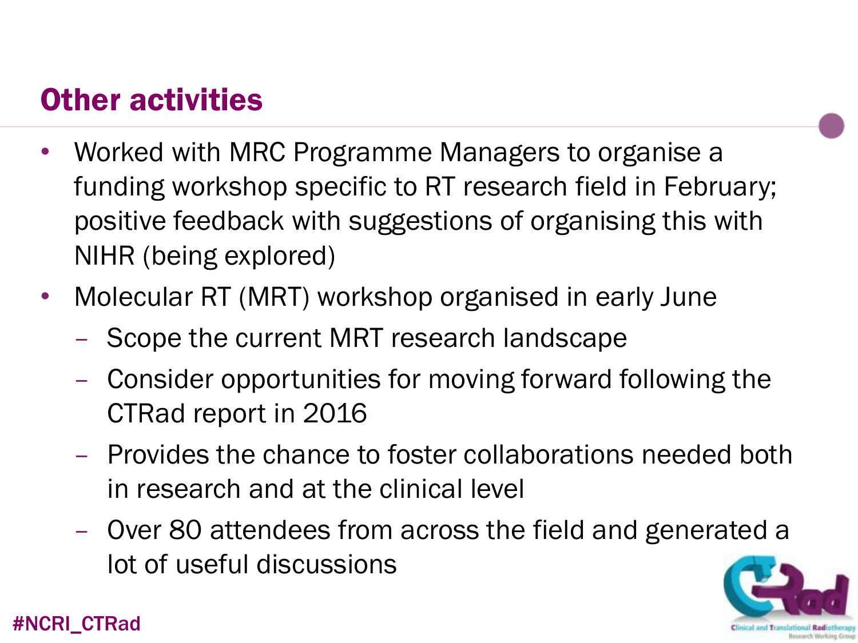### Other activities

- Worked with MRC Programme Managers to organise a funding workshop specific to RT research field in February; positive feedback with suggestions of organising this with NIHR (being explored)
- Molecular RT (MRT) workshop organised in early June
	- Scope the current MRT research landscape
	- Consider opportunities for moving forward following the CTRad report in 2016
	- Provides the chance to foster collaborations needed both in research and at the clinical level
	- Over 80 attendees from across the field and generated a lot of useful discussions

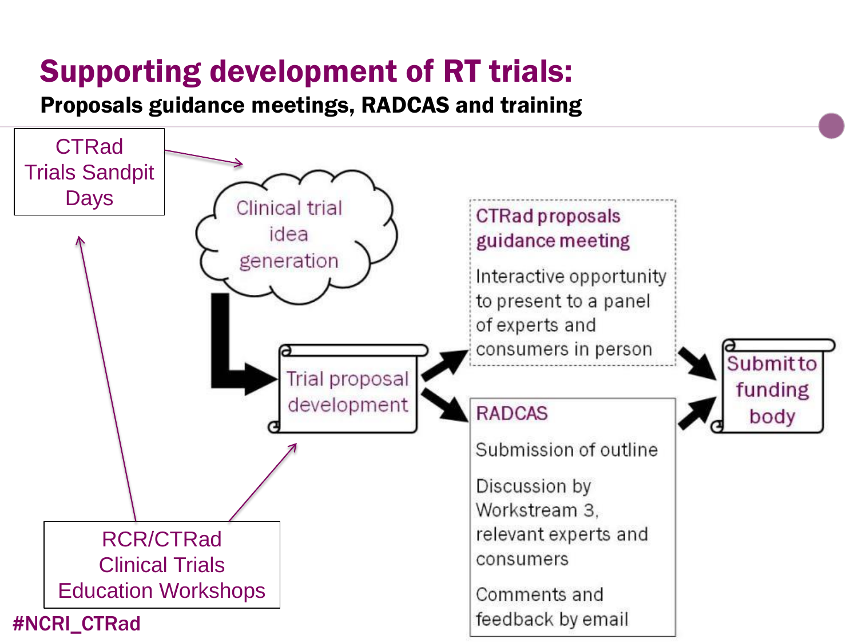## Supporting development of RT trials:

Proposals guidance meetings, RADCAS and training

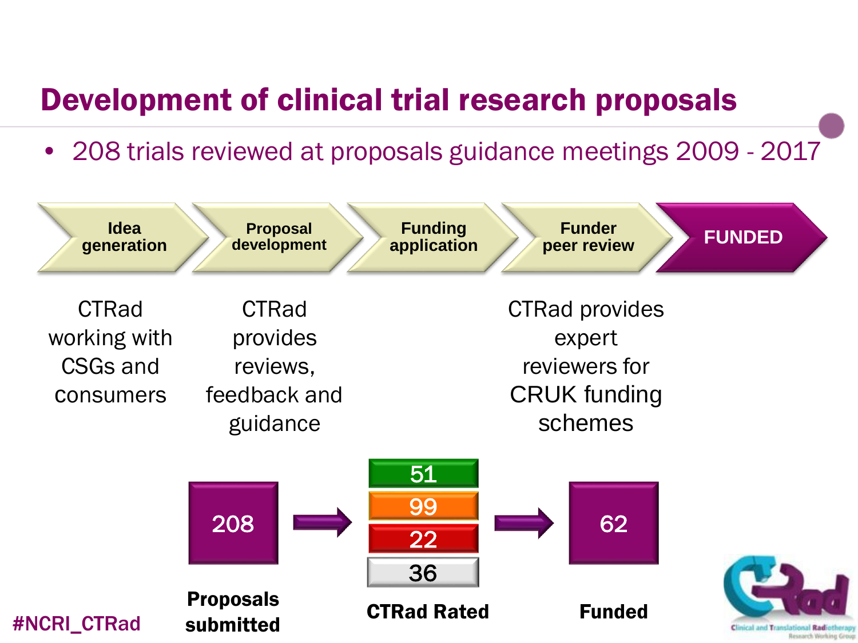### Development of clinical trial research proposals

• 208 trials reviewed at proposals guidance meetings 2009 - 2017

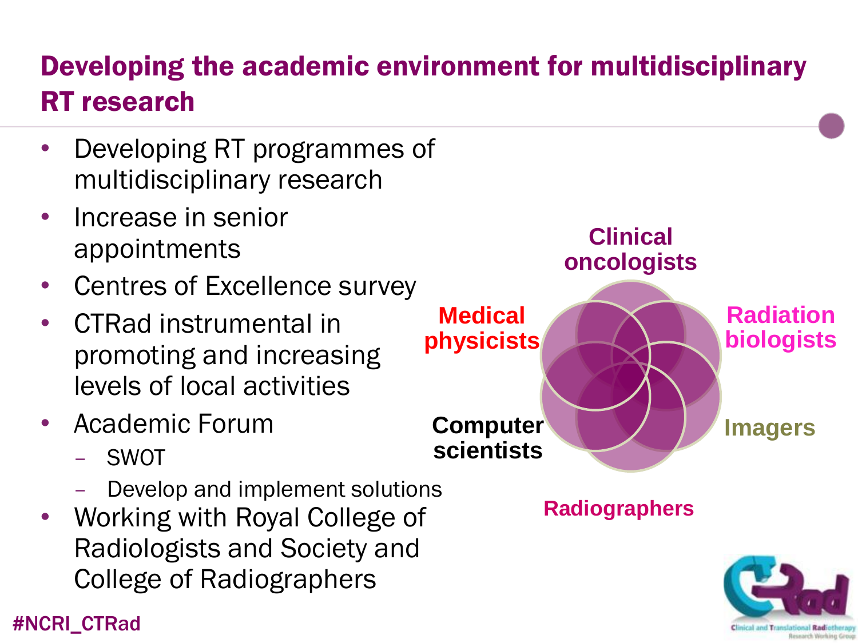### Developing the academic environment for multidisciplinary RT research

- Developing RT programmes of multidisciplinary research
- Increase in senior appointments
- Centres of Excellence survey
- CTRad instrumental in promoting and increasing levels of local activities
- Academic Forum
	- SWOT
	- Develop and implement solutions
- Working with Royal College of Radiologists and Society and College of Radiographers

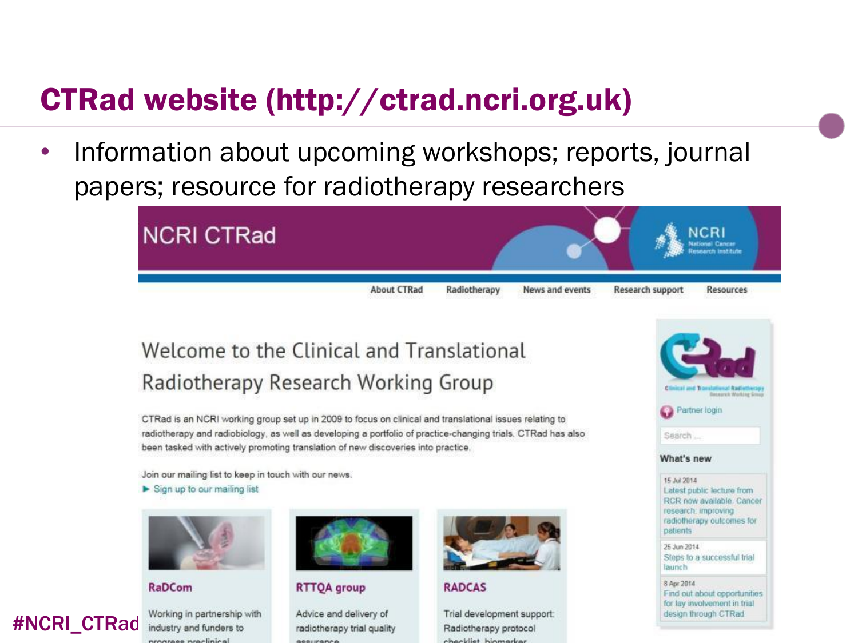### CTRad website (http://ctrad.ncri.org.uk)

• Information about upcoming workshops; reports, journal papers; resource for radiotherapy researchers



#### Welcome to the Clinical and Translational Radiotherapy Research Working Group

CTRad is an NCRI working group set up in 2009 to focus on clinical and translational issues relating to radiotherapy and radiobiology, as well as developing a portfolio of practice-changing trials. CTRad has also been tasked with actively promoting translation of new discoveries into practice.

Join our mailing list to keep in touch with our news.

 $\blacktriangleright$  Sign up to our mailing list



**RaDCom** 



Working in partnership with industry and funders to program proclinical



#### **RTTQA** group

Advice and delivery of radiotherapy trial quality **GOODINGHOO** 



**RADCAS** 

Trial development support: Radiotherapy protocol chackliet higmarker



for lay involvement in trial design through CTRad